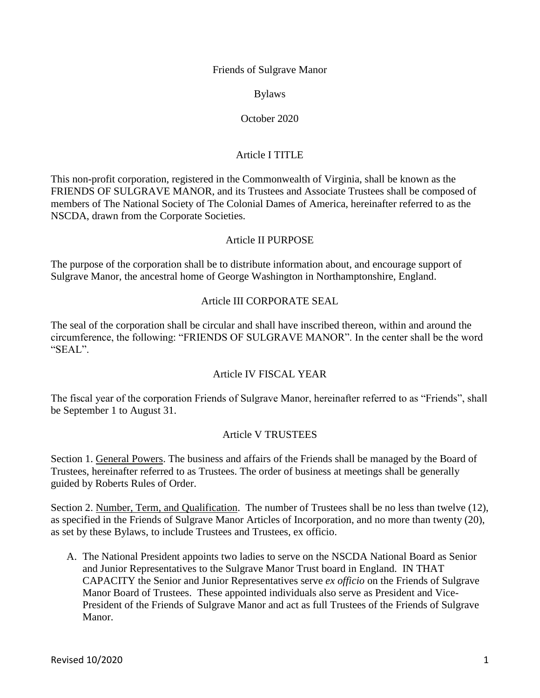Friends of Sulgrave Manor

Bylaws

### October 2020

# Article I TITLE

This non-profit corporation, registered in the Commonwealth of Virginia, shall be known as the FRIENDS OF SULGRAVE MANOR, and its Trustees and Associate Trustees shall be composed of members of The National Society of The Colonial Dames of America, hereinafter referred to as the NSCDA, drawn from the Corporate Societies.

#### Article II PURPOSE

The purpose of the corporation shall be to distribute information about, and encourage support of Sulgrave Manor, the ancestral home of George Washington in Northamptonshire, England.

#### Article III CORPORATE SEAL

The seal of the corporation shall be circular and shall have inscribed thereon, within and around the circumference, the following: "FRIENDS OF SULGRAVE MANOR". In the center shall be the word "SEAL".

### Article IV FISCAL YEAR

The fiscal year of the corporation Friends of Sulgrave Manor, hereinafter referred to as "Friends", shall be September 1 to August 31.

### Article V TRUSTEES

Section 1. General Powers. The business and affairs of the Friends shall be managed by the Board of Trustees, hereinafter referred to as Trustees. The order of business at meetings shall be generally guided by Roberts Rules of Order.

Section 2. Number, Term, and Qualification. The number of Trustees shall be no less than twelve (12), as specified in the Friends of Sulgrave Manor Articles of Incorporation, and no more than twenty (20), as set by these Bylaws, to include Trustees and Trustees, ex officio.

A. The National President appoints two ladies to serve on the NSCDA National Board as Senior and Junior Representatives to the Sulgrave Manor Trust board in England. IN THAT CAPACITY the Senior and Junior Representatives serve *ex officio* on the Friends of Sulgrave Manor Board of Trustees. These appointed individuals also serve as President and Vice-President of the Friends of Sulgrave Manor and act as full Trustees of the Friends of Sulgrave Manor.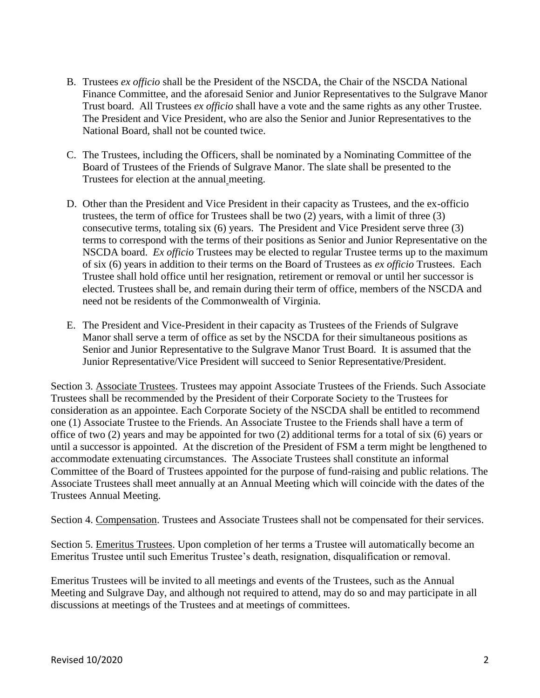- B. Trustees *ex officio* shall be the President of the NSCDA, the Chair of the NSCDA National Finance Committee, and the aforesaid Senior and Junior Representatives to the Sulgrave Manor Trust board. All Trustees *ex officio* shall have a vote and the same rights as any other Trustee. The President and Vice President, who are also the Senior and Junior Representatives to the National Board, shall not be counted twice.
- C. The Trustees, including the Officers, shall be nominated by a Nominating Committee of the Board of Trustees of the Friends of Sulgrave Manor. The slate shall be presented to the Trustees for election at the annual meeting.
- D. Other than the President and Vice President in their capacity as Trustees, and the ex-officio trustees, the term of office for Trustees shall be two (2) years, with a limit of three (3) consecutive terms, totaling six (6) years. The President and Vice President serve three (3) terms to correspond with the terms of their positions as Senior and Junior Representative on the NSCDA board. *Ex officio* Trustees may be elected to regular Trustee terms up to the maximum of six (6) years in addition to their terms on the Board of Trustees as *ex officio* Trustees. Each Trustee shall hold office until her resignation, retirement or removal or until her successor is elected. Trustees shall be, and remain during their term of office, members of the NSCDA and need not be residents of the Commonwealth of Virginia.
- E. The President and Vice-President in their capacity as Trustees of the Friends of Sulgrave Manor shall serve a term of office as set by the NSCDA for their simultaneous positions as Senior and Junior Representative to the Sulgrave Manor Trust Board. It is assumed that the Junior Representative/Vice President will succeed to Senior Representative/President.

Section 3. Associate Trustees. Trustees may appoint Associate Trustees of the Friends. Such Associate Trustees shall be recommended by the President of their Corporate Society to the Trustees for consideration as an appointee. Each Corporate Society of the NSCDA shall be entitled to recommend one (1) Associate Trustee to the Friends. An Associate Trustee to the Friends shall have a term of office of two  $(2)$  years and may be appointed for two  $(2)$  additional terms for a total of six  $(6)$  years or until a successor is appointed. At the discretion of the President of FSM a term might be lengthened to accommodate extenuating circumstances. The Associate Trustees shall constitute an informal Committee of the Board of Trustees appointed for the purpose of fund-raising and public relations. The Associate Trustees shall meet annually at an Annual Meeting which will coincide with the dates of the Trustees Annual Meeting.

Section 4. Compensation. Trustees and Associate Trustees shall not be compensated for their services.

Section 5. Emeritus Trustees. Upon completion of her terms a Trustee will automatically become an Emeritus Trustee until such Emeritus Trustee's death, resignation, disqualification or removal.

Emeritus Trustees will be invited to all meetings and events of the Trustees, such as the Annual Meeting and Sulgrave Day, and although not required to attend, may do so and may participate in all discussions at meetings of the Trustees and at meetings of committees.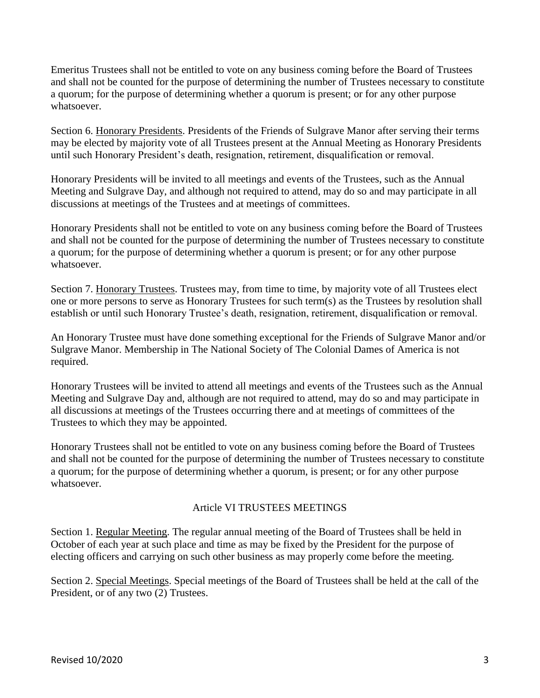Emeritus Trustees shall not be entitled to vote on any business coming before the Board of Trustees and shall not be counted for the purpose of determining the number of Trustees necessary to constitute a quorum; for the purpose of determining whether a quorum is present; or for any other purpose whatsoever.

Section 6. Honorary Presidents. Presidents of the Friends of Sulgrave Manor after serving their terms may be elected by majority vote of all Trustees present at the Annual Meeting as Honorary Presidents until such Honorary President's death, resignation, retirement, disqualification or removal.

Honorary Presidents will be invited to all meetings and events of the Trustees, such as the Annual Meeting and Sulgrave Day, and although not required to attend, may do so and may participate in all discussions at meetings of the Trustees and at meetings of committees.

Honorary Presidents shall not be entitled to vote on any business coming before the Board of Trustees and shall not be counted for the purpose of determining the number of Trustees necessary to constitute a quorum; for the purpose of determining whether a quorum is present; or for any other purpose whatsoever.

Section 7. Honorary Trustees. Trustees may, from time to time, by majority vote of all Trustees elect one or more persons to serve as Honorary Trustees for such term(s) as the Trustees by resolution shall establish or until such Honorary Trustee's death, resignation, retirement, disqualification or removal.

An Honorary Trustee must have done something exceptional for the Friends of Sulgrave Manor and/or Sulgrave Manor. Membership in The National Society of The Colonial Dames of America is not required.

Honorary Trustees will be invited to attend all meetings and events of the Trustees such as the Annual Meeting and Sulgrave Day and, although are not required to attend, may do so and may participate in all discussions at meetings of the Trustees occurring there and at meetings of committees of the Trustees to which they may be appointed.

Honorary Trustees shall not be entitled to vote on any business coming before the Board of Trustees and shall not be counted for the purpose of determining the number of Trustees necessary to constitute a quorum; for the purpose of determining whether a quorum, is present; or for any other purpose whatsoever.

### Article VI TRUSTEES MEETINGS

Section 1. Regular Meeting. The regular annual meeting of the Board of Trustees shall be held in October of each year at such place and time as may be fixed by the President for the purpose of electing officers and carrying on such other business as may properly come before the meeting.

Section 2. Special Meetings. Special meetings of the Board of Trustees shall be held at the call of the President, or of any two (2) Trustees.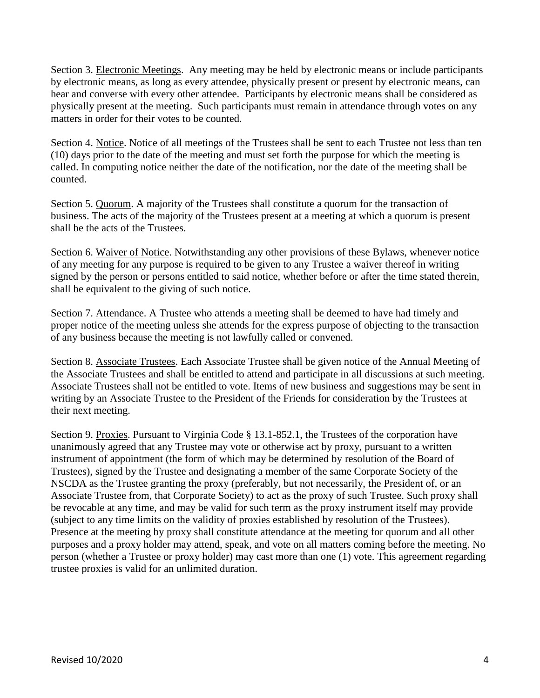Section 3. Electronic Meetings. Any meeting may be held by electronic means or include participants by electronic means, as long as every attendee, physically present or present by electronic means, can hear and converse with every other attendee. Participants by electronic means shall be considered as physically present at the meeting. Such participants must remain in attendance through votes on any matters in order for their votes to be counted.

Section 4. Notice. Notice of all meetings of the Trustees shall be sent to each Trustee not less than ten (10) days prior to the date of the meeting and must set forth the purpose for which the meeting is called. In computing notice neither the date of the notification, nor the date of the meeting shall be counted.

Section 5. Quorum. A majority of the Trustees shall constitute a quorum for the transaction of business. The acts of the majority of the Trustees present at a meeting at which a quorum is present shall be the acts of the Trustees.

Section 6. Waiver of Notice. Notwithstanding any other provisions of these Bylaws, whenever notice of any meeting for any purpose is required to be given to any Trustee a waiver thereof in writing signed by the person or persons entitled to said notice, whether before or after the time stated therein, shall be equivalent to the giving of such notice.

Section 7. Attendance. A Trustee who attends a meeting shall be deemed to have had timely and proper notice of the meeting unless she attends for the express purpose of objecting to the transaction of any business because the meeting is not lawfully called or convened.

Section 8. Associate Trustees. Each Associate Trustee shall be given notice of the Annual Meeting of the Associate Trustees and shall be entitled to attend and participate in all discussions at such meeting. Associate Trustees shall not be entitled to vote. Items of new business and suggestions may be sent in writing by an Associate Trustee to the President of the Friends for consideration by the Trustees at their next meeting.

Section 9. Proxies. Pursuant to Virginia Code § 13.1-852.1, the Trustees of the corporation have unanimously agreed that any Trustee may vote or otherwise act by proxy, pursuant to a written instrument of appointment (the form of which may be determined by resolution of the Board of Trustees), signed by the Trustee and designating a member of the same Corporate Society of the NSCDA as the Trustee granting the proxy (preferably, but not necessarily, the President of, or an Associate Trustee from, that Corporate Society) to act as the proxy of such Trustee. Such proxy shall be revocable at any time, and may be valid for such term as the proxy instrument itself may provide (subject to any time limits on the validity of proxies established by resolution of the Trustees). Presence at the meeting by proxy shall constitute attendance at the meeting for quorum and all other purposes and a proxy holder may attend, speak, and vote on all matters coming before the meeting. No person (whether a Trustee or proxy holder) may cast more than one (1) vote. This agreement regarding trustee proxies is valid for an unlimited duration.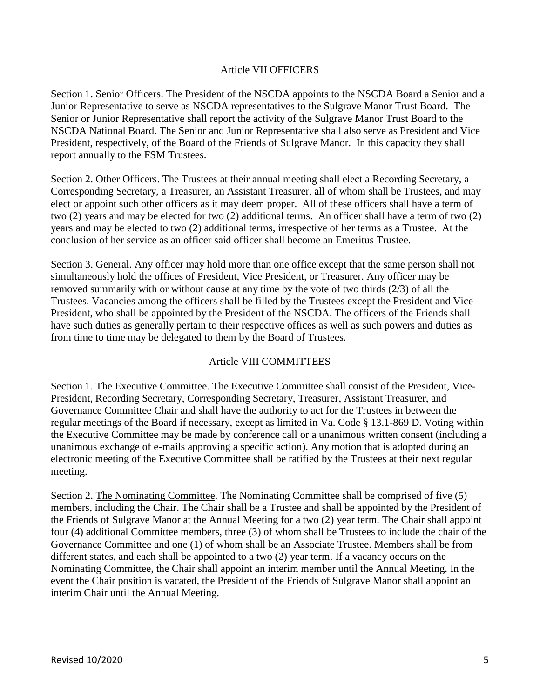#### Article VII OFFICERS

Section 1. Senior Officers. The President of the NSCDA appoints to the NSCDA Board a Senior and a Junior Representative to serve as NSCDA representatives to the Sulgrave Manor Trust Board. The Senior or Junior Representative shall report the activity of the Sulgrave Manor Trust Board to the NSCDA National Board. The Senior and Junior Representative shall also serve as President and Vice President, respectively, of the Board of the Friends of Sulgrave Manor. In this capacity they shall report annually to the FSM Trustees.

Section 2. Other Officers. The Trustees at their annual meeting shall elect a Recording Secretary, a Corresponding Secretary, a Treasurer, an Assistant Treasurer, all of whom shall be Trustees, and may elect or appoint such other officers as it may deem proper. All of these officers shall have a term of two (2) years and may be elected for two (2) additional terms. An officer shall have a term of two (2) years and may be elected to two (2) additional terms, irrespective of her terms as a Trustee. At the conclusion of her service as an officer said officer shall become an Emeritus Trustee.

Section 3. General. Any officer may hold more than one office except that the same person shall not simultaneously hold the offices of President, Vice President, or Treasurer. Any officer may be removed summarily with or without cause at any time by the vote of two thirds (2/3) of all the Trustees. Vacancies among the officers shall be filled by the Trustees except the President and Vice President, who shall be appointed by the President of the NSCDA. The officers of the Friends shall have such duties as generally pertain to their respective offices as well as such powers and duties as from time to time may be delegated to them by the Board of Trustees.

### Article VIII COMMITTEES

Section 1. The Executive Committee. The Executive Committee shall consist of the President, Vice-President, Recording Secretary, Corresponding Secretary, Treasurer, Assistant Treasurer, and Governance Committee Chair and shall have the authority to act for the Trustees in between the regular meetings of the Board if necessary, except as limited in Va. Code § 13.1-869 D. Voting within the Executive Committee may be made by conference call or a unanimous written consent (including a unanimous exchange of e-mails approving a specific action). Any motion that is adopted during an electronic meeting of the Executive Committee shall be ratified by the Trustees at their next regular meeting.

Section 2. The Nominating Committee. The Nominating Committee shall be comprised of five (5) members, including the Chair. The Chair shall be a Trustee and shall be appointed by the President of the Friends of Sulgrave Manor at the Annual Meeting for a two (2) year term. The Chair shall appoint four (4) additional Committee members, three (3) of whom shall be Trustees to include the chair of the Governance Committee and one (1) of whom shall be an Associate Trustee. Members shall be from different states, and each shall be appointed to a two (2) year term. If a vacancy occurs on the Nominating Committee, the Chair shall appoint an interim member until the Annual Meeting. In the event the Chair position is vacated, the President of the Friends of Sulgrave Manor shall appoint an interim Chair until the Annual Meeting.